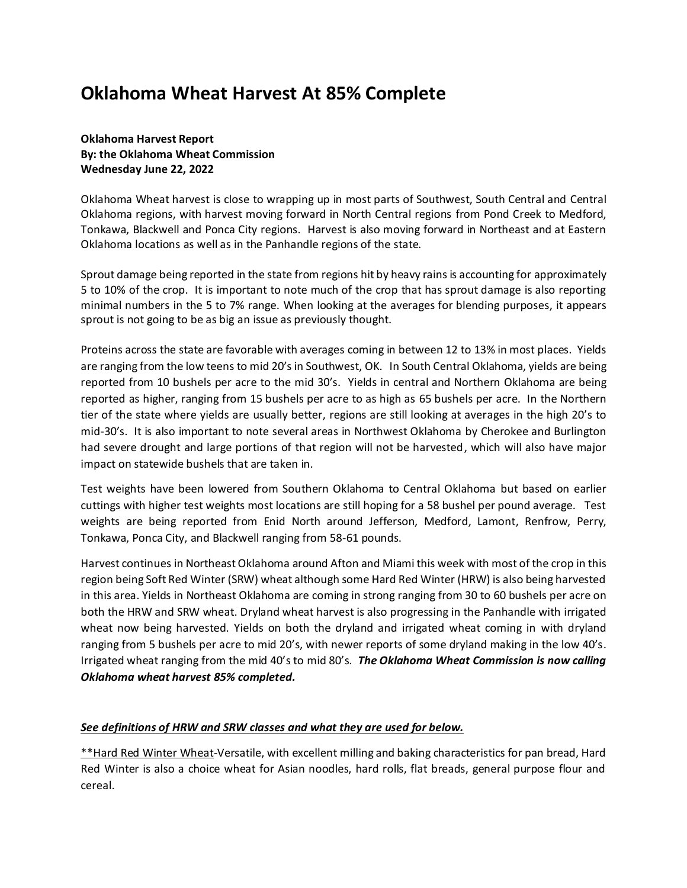# **Oklahoma Wheat Harvest At 85% Complete**

**Oklahoma Harvest Report By: the Oklahoma Wheat Commission Wednesday June 22, 2022**

Oklahoma Wheat harvest is close to wrapping up in most parts of Southwest, South Central and Central Oklahoma regions, with harvest moving forward in North Central regions from Pond Creek to Medford, Tonkawa, Blackwell and Ponca City regions. Harvest is also moving forward in Northeast and at Eastern Oklahoma locations as well as in the Panhandle regions of the state.

Sprout damage being reported in the state from regions hit by heavy rains is accounting for approximately 5 to 10% of the crop. It is important to note much of the crop that has sprout damage is also reporting minimal numbers in the 5 to 7% range. When looking at the averages for blending purposes, it appears sprout is not going to be as big an issue as previously thought.

Proteins across the state are favorable with averages coming in between 12 to 13% in most places. Yields are ranging from the low teens to mid 20's in Southwest, OK. In South Central Oklahoma, yields are being reported from 10 bushels per acre to the mid 30's. Yields in central and Northern Oklahoma are being reported as higher, ranging from 15 bushels per acre to as high as 65 bushels per acre. In the Northern tier of the state where yields are usually better, regions are still looking at averages in the high 20's to mid-30's. It is also important to note several areas in Northwest Oklahoma by Cherokee and Burlington had severe drought and large portions of that region will not be harvested, which will also have major impact on statewide bushels that are taken in.

Test weights have been lowered from Southern Oklahoma to Central Oklahoma but based on earlier cuttings with higher test weights most locations are still hoping for a 58 bushel per pound average. Test weights are being reported from Enid North around Jefferson, Medford, Lamont, Renfrow, Perry, Tonkawa, Ponca City, and Blackwell ranging from 58-61 pounds.

Harvest continues in Northeast Oklahoma around Afton and Miami this week with most of the crop in this region being Soft Red Winter (SRW) wheat although some Hard Red Winter (HRW) is also being harvested in this area. Yields in Northeast Oklahoma are coming in strong ranging from 30 to 60 bushels per acre on both the HRW and SRW wheat. Dryland wheat harvest is also progressing in the Panhandle with irrigated wheat now being harvested. Yields on both the dryland and irrigated wheat coming in with dryland ranging from 5 bushels per acre to mid 20's, with newer reports of some dryland making in the low 40's. Irrigated wheat ranging from the mid 40's to mid 80's. *The Oklahoma Wheat Commission is now calling Oklahoma wheat harvest 85% completed.*

# *See definitions of HRW and SRW classes and what they are used for below.*

\*\*Hard Red Winter Wheat-Versatile, with excellent milling and baking characteristics for pan bread, Hard Red Winter is also a choice wheat for Asian noodles, hard rolls, flat breads, general purpose flour and cereal.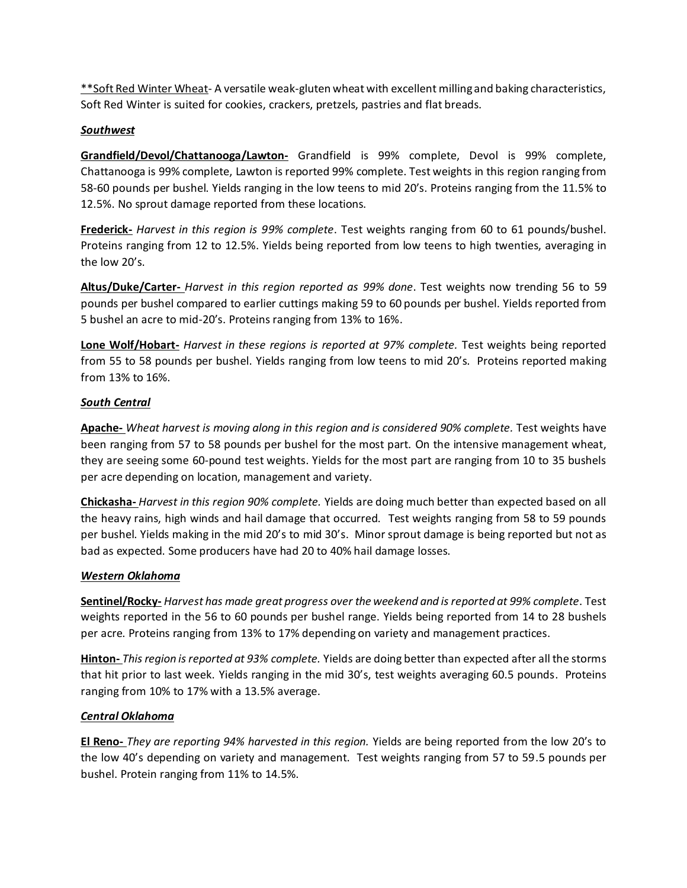\*\*Soft Red Winter Wheat- A versatile weak-gluten wheat with excellent milling and baking characteristics, Soft Red Winter is suited for cookies, crackers, pretzels, pastries and flat breads.

## *Southwest*

**Grandfield/Devol/Chattanooga/Lawton-** Grandfield is 99% complete, Devol is 99% complete, Chattanooga is 99% complete, Lawton is reported 99% complete. Test weights in this region ranging from 58-60 pounds per bushel. Yields ranging in the low teens to mid 20's. Proteins ranging from the 11.5% to 12.5%. No sprout damage reported from these locations.

**Frederick-** *Harvest in this region is 99% complete*. Test weights ranging from 60 to 61 pounds/bushel. Proteins ranging from 12 to 12.5%. Yields being reported from low teens to high twenties, averaging in the low 20's.

**Altus/Duke/Carter-** *Harvest in this region reported as 99% done*. Test weights now trending 56 to 59 pounds per bushel compared to earlier cuttings making 59 to 60 pounds per bushel. Yields reported from 5 bushel an acre to mid-20's. Proteins ranging from 13% to 16%.

**Lone Wolf/Hobart-** *Harvest in these regions is reported at 97% complete.* Test weights being reported from 55 to 58 pounds per bushel. Yields ranging from low teens to mid 20's. Proteins reported making from 13% to 16%.

## *South Central*

**Apache-** *Wheat harvest is moving along in this region and is considered 90% complete.* Test weights have been ranging from 57 to 58 pounds per bushel for the most part. On the intensive management wheat, they are seeing some 60-pound test weights. Yields for the most part are ranging from 10 to 35 bushels per acre depending on location, management and variety.

**Chickasha-** *Harvest in this region 90% complete.* Yields are doing much better than expected based on all the heavy rains, high winds and hail damage that occurred. Test weights ranging from 58 to 59 pounds per bushel. Yields making in the mid 20's to mid 30's. Minor sprout damage is being reported but not as bad as expected. Some producers have had 20 to 40% hail damage losses.

# *Western Oklahoma*

**Sentinel/Rocky-** *Harvest has made great progress over the weekend and is reported at 99% complete*. Test weights reported in the 56 to 60 pounds per bushel range. Yields being reported from 14 to 28 bushels per acre. Proteins ranging from 13% to 17% depending on variety and management practices.

**Hinton-** *This region is reported at 93% complete.* Yields are doing better than expected after all the storms that hit prior to last week. Yields ranging in the mid 30's, test weights averaging 60.5 pounds. Proteins ranging from 10% to 17% with a 13.5% average.

#### *Central Oklahoma*

**El Reno-** *They are reporting 94% harvested in this region.* Yields are being reported from the low 20's to the low 40's depending on variety and management. Test weights ranging from 57 to 59.5 pounds per bushel. Protein ranging from 11% to 14.5%.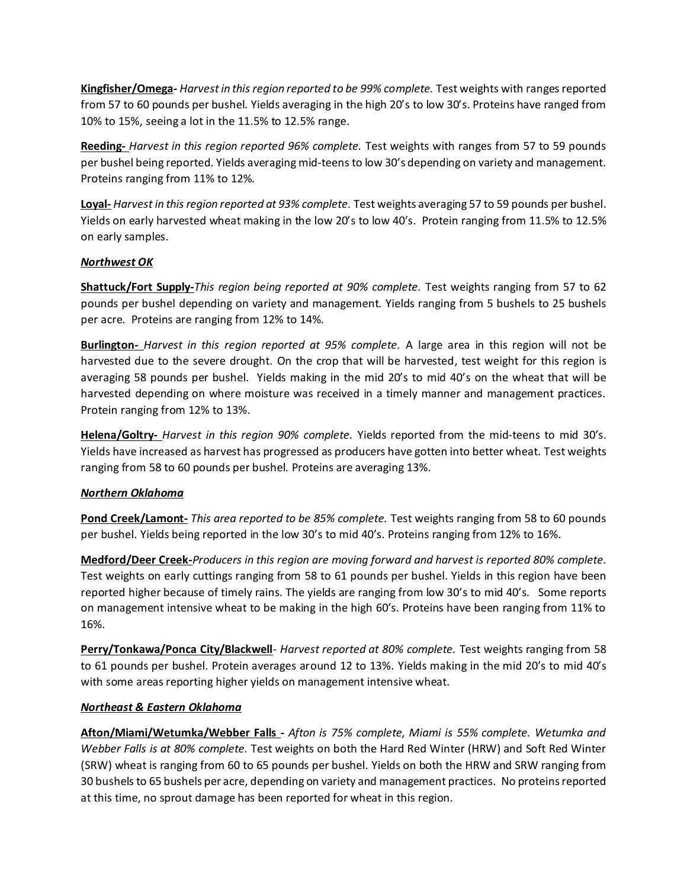**Kingfisher/Omega-** *Harvest in this region reported to be 99% complete.* Test weights with ranges reported from 57 to 60 pounds per bushel. Yields averaging in the high 20's to low 30's. Proteins have ranged from 10% to 15%, seeing a lot in the 11.5% to 12.5% range.

**Reeding-** *Harvest in this region reported 96% complete.* Test weights with ranges from 57 to 59 pounds per bushel being reported. Yields averaging mid-teens to low 30's depending on variety and management. Proteins ranging from 11% to 12%.

**Loyal-** *Harvest in this region reported at 93% complete.* Test weights averaging 57 to 59 pounds per bushel. Yields on early harvested wheat making in the low 20's to low 40's. Protein ranging from 11.5% to 12.5% on early samples.

## *Northwest OK*

**Shattuck/Fort Supply-***This region being reported at 90% complete.* Test weights ranging from 57 to 62 pounds per bushel depending on variety and management. Yields ranging from 5 bushels to 25 bushels per acre. Proteins are ranging from 12% to 14%.

**Burlington-** *Harvest in this region reported at 95% complete.* A large area in this region will not be harvested due to the severe drought. On the crop that will be harvested, test weight for this region is averaging 58 pounds per bushel. Yields making in the mid 20's to mid 40's on the wheat that will be harvested depending on where moisture was received in a timely manner and management practices. Protein ranging from 12% to 13%.

**Helena/Goltry-** *Harvest in this region 90% complete.* Yields reported from the mid-teens to mid 30's. Yields have increased as harvest has progressed as producers have gotten into better wheat. Test weights ranging from 58 to 60 pounds per bushel. Proteins are averaging 13%.

# *Northern Oklahoma*

**Pond Creek/Lamont-** *This area reported to be 85% complete.* Test weights ranging from 58 to 60 pounds per bushel. Yields being reported in the low 30's to mid 40's. Proteins ranging from 12% to 16%.

**Medford/Deer Creek-***Producers in this region are moving forward and harvest is reported 80% complete.* Test weights on early cuttings ranging from 58 to 61 pounds per bushel. Yields in this region have been reported higher because of timely rains. The yields are ranging from low 30's to mid 40's. Some reports on management intensive wheat to be making in the high 60's. Proteins have been ranging from 11% to 16%.

**Perry/Tonkawa/Ponca City/Blackwell**- *Harvest reported at 80% complete.* Test weights ranging from 58 to 61 pounds per bushel. Protein averages around 12 to 13%. Yields making in the mid 20's to mid 40's with some areas reporting higher yields on management intensive wheat.

#### *Northeast & Eastern Oklahoma*

**Afton/Miami/Wetumka/Webber Falls -** *Afton is 75% complete, Miami is 55% complete. Wetumka and Webber Falls is at 80% complete.* Test weights on both the Hard Red Winter (HRW) and Soft Red Winter (SRW) wheat is ranging from 60 to 65 pounds per bushel. Yields on both the HRW and SRW ranging from 30 bushels to 65 bushels per acre, depending on variety and management practices. No proteins reported at this time, no sprout damage has been reported for wheat in this region.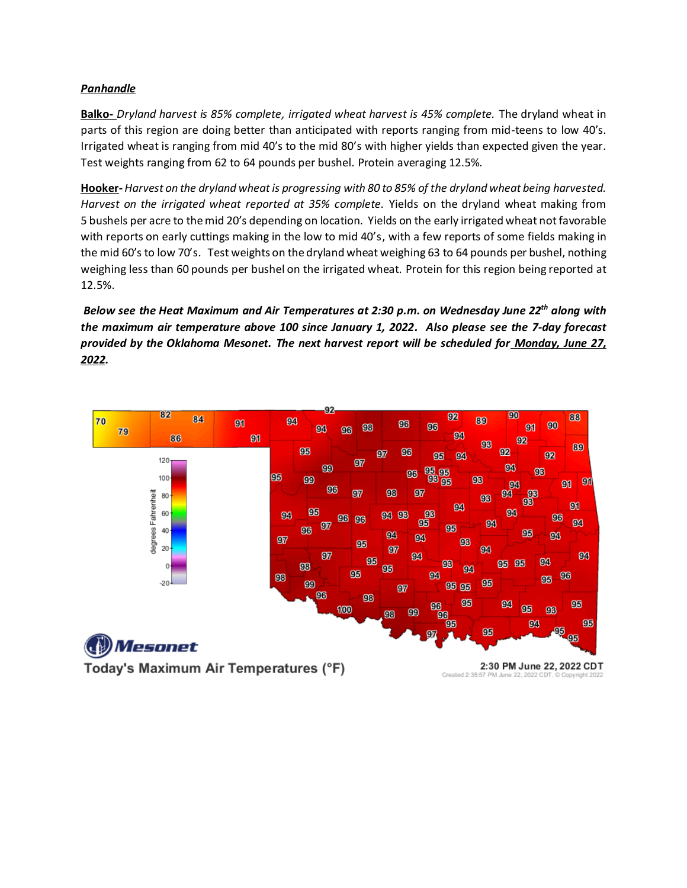## *Panhandle*

**Balko-** *Dryland harvest is 85% complete, irrigated wheat harvest is 45% complete.* The dryland wheat in parts of this region are doing better than anticipated with reports ranging from mid-teens to low 40's. Irrigated wheat is ranging from mid 40's to the mid 80's with higher yields than expected given the year. Test weights ranging from 62 to 64 pounds per bushel. Protein averaging 12.5%.

**Hooker-***Harvest on the dryland wheat is progressing with 80 to 85% of the dryland wheat being harvested. Harvest on the irrigated wheat reported at 35% complete.* Yields on the dryland wheat making from 5 bushels per acre to the mid 20's depending on location. Yields on the early irrigated wheat not favorable with reports on early cuttings making in the low to mid 40's, with a few reports of some fields making in the mid 60's to low 70's. Test weights on the dryland wheat weighing 63 to 64 pounds per bushel, nothing weighing less than 60 pounds per bushel on the irrigated wheat. Protein for this region being reported at 12.5%.

*Below see the Heat Maximum and Air Temperatures at 2:30 p.m. on Wednesday June 22 th along with the maximum air temperature above 100 since January 1, 2022. Also please see the 7-day forecast provided by the Oklahoma Mesonet. The next harvest report will be scheduled for Monday, June 27, 2022.*